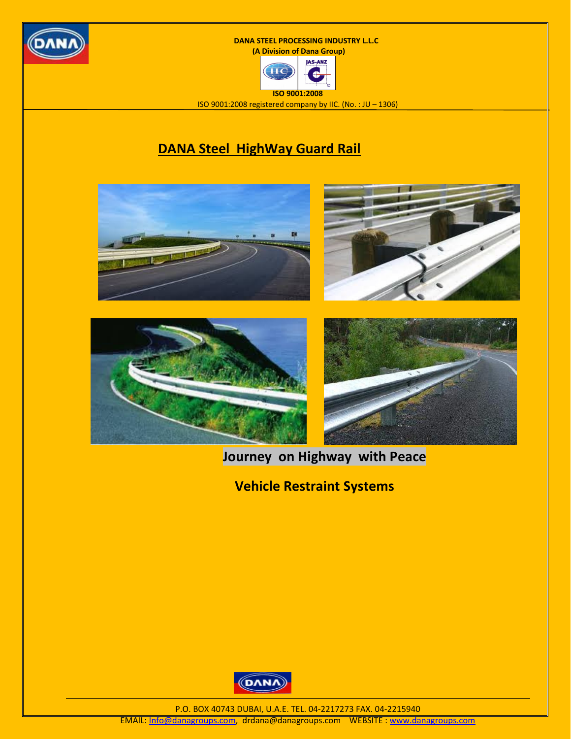





ISO 9001:2008 registered company by IIC. (No. : JU – 1306)

## DANA Steel HighWay Guard Rail



## Journey on Highway with Peace

Vehicle Restraint Systems



P.O. BOX 40743 DUBAI, U.A.E. TEL. 04-2217273 FAX. 04-2215940 EMAIL: Info@danagroups.com, drdana@danagroups.com WEBSITE : www.danagroups.com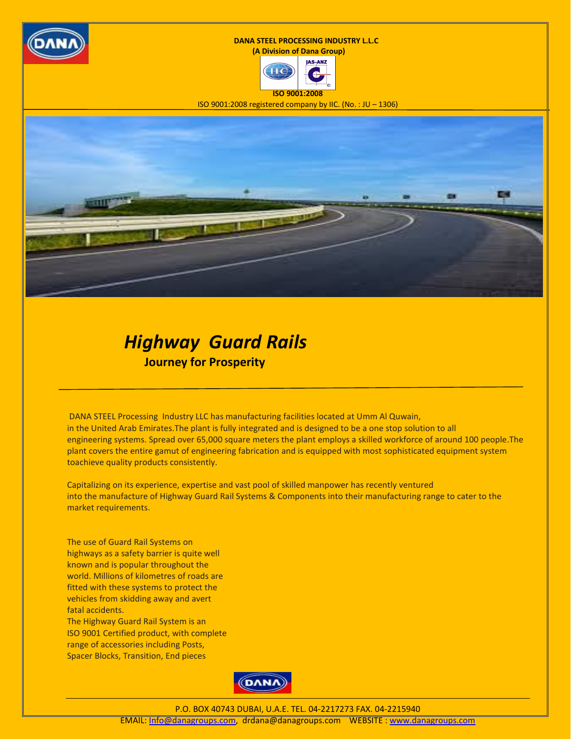





ISO 9001:2008 registered company by IIC. (No. : JU – 1306)



## Highway Guard Rails Journey for Prosperity

 DANA STEEL Processing Industry LLC has manufacturing facilities located at Umm Al Quwain, in the United Arab Emirates.The plant is fully integrated and is designed to be a one stop solution to all engineering systems. Spread over 65,000 square meters the plant employs a skilled workforce of around 100 people.The plant covers the entire gamut of engineering fabrication and is equipped with most sophisticated equipment system toachieve quality products consistently.

Capitalizing on its experience, expertise and vast pool of skilled manpower has recently ventured into the manufacture of Highway Guard Rail Systems & Components into their manufacturing range to cater to the market requirements.

The use of Guard Rail Systems on highways as a safety barrier is quite well known and is popular throughout the world. Millions of kilometres of roads are fitted with these systems to protect the vehicles from skidding away and avert fatal accidents. The Highway Guard Rail System is an

ISO 9001 Certified product, with complete range of accessories including Posts, Spacer Blocks, Transition, End pieces



P.O. BOX 40743 DUBAI, U.A.E. TEL. 04-2217273 FAX. 04-2215940

EMAIL: Info@danagroups.com, drdana@danagroups.com WEBSITE : www.danagroups.com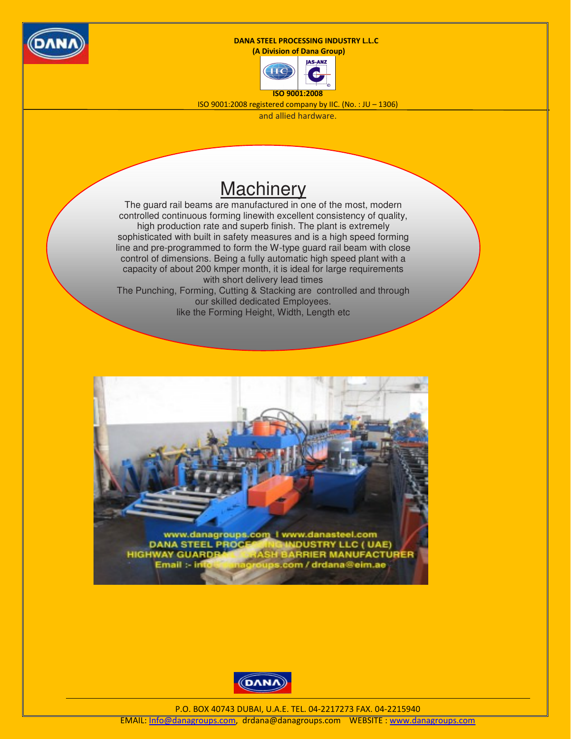

(A Division of Dana Group)



ISO 9001:2008 registered company by IIC. (No. : JU – 1306)

and allied hardware.

# **Machinery**

The guard rail beams are manufactured in one of the most, modern controlled continuous forming linewith excellent consistency of quality, high production rate and superb finish. The plant is extremely sophisticated with built in safety measures and is a high speed forming line and pre-programmed to form the W-type guard rail beam with close control of dimensions. Being a fully automatic high speed plant with a capacity of about 200 kmper month, it is ideal for large requirements with short delivery lead times The Punching, Forming, Cutting & Stacking are controlled and through our skilled dedicated Employees. like the Forming Height, Width, Length etc





P.O. BOX 40743 DUBAI, U.A.E. TEL. 04-2217273 FAX. 04-2215940

EMAIL: Info@danagroups.com, drdana@danagroups.com WEBSITE : www.danagroups.com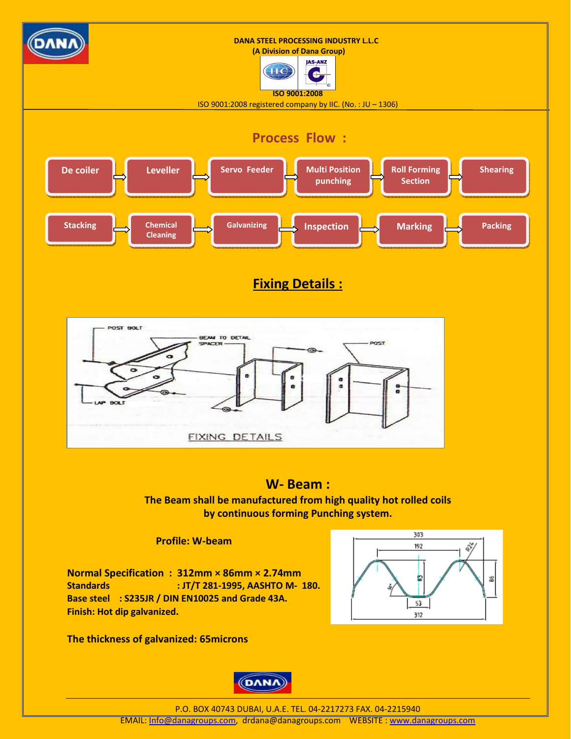

### Fixing Details :



### W- Beam :

The Beam shall be manufactured from high quality hot rolled coils by continuous forming Punching system.

Profile: W-beam

Normal Specification : 312mm × 86mm × 2.74mm Standards : JT/T 281-1995, AASHTO M- 180. Base steel : S235JR / DIN EN10025 and Grade 43A. Finish: Hot dip galvanized.



The thickness of galvanized: 65microns

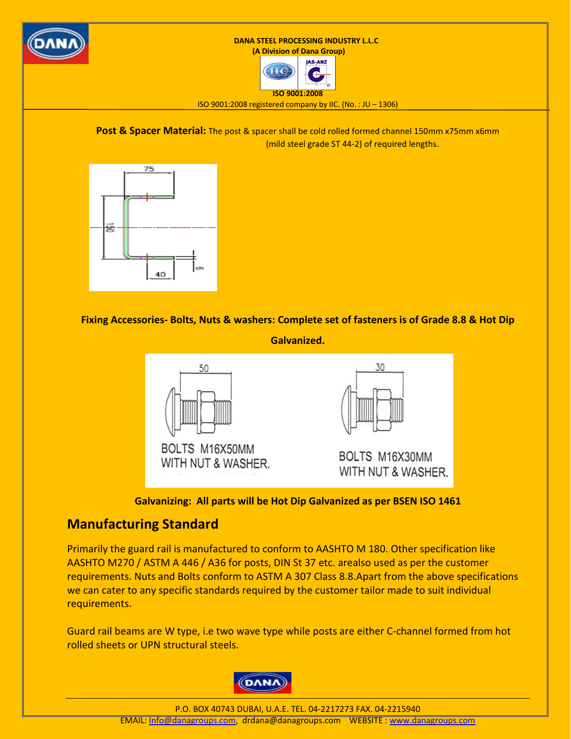

(A Division of Dana Group)



ISO 9001:2008 registered company by IIC. (No. : JU – 1306)

Post & Spacer Material: The post & spacer shall be cold rolled formed channel 150mm x75mm x6mm (mild steel grade ST 44-2) of required lengths.



Fixing Accessories- Bolts, Nuts & washers: Complete set of fasteners is of Grade 8.8 & Hot Dip

Galvanized.



Galvanizing: All parts will be Hot Dip Galvanized as per BSEN ISO 1461

### Manufacturing Standard

Primarily the guard rail is manufactured to conform to AASHTO M 180. Other specification like AASHTO M270 / ASTM A 446 / A36 for posts, DIN St 37 etc. arealso used as per the customer requirements. Nuts and Bolts conform to ASTM A 307 Class 8.8.Apart from the above specifications we can cater to any specific standards required by the customer tailor made to suit individual requirements.

Guard rail beams are W type, i.e two wave type while posts are either C-channel formed from hot rolled sheets or UPN structural steels.